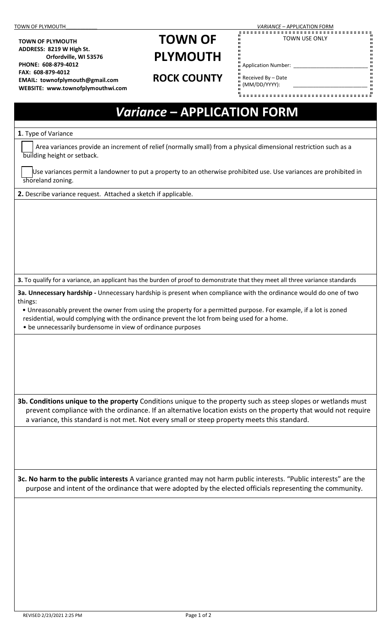**TOWN OF PLYMOUTH ADDRESS: 8219 W High St.**

**PHONE: 608-879-4012 FAX: 608-879-4012**

 **Orfordville, WI 53576**

**EMAIL: townofplymouth@gmail.com WEBSITE: www.townofplymouthwi.com**

## **TOWN OF PLYMOUTH**

**ROCK COUNTY** 

TOWN OF PLYMOUTH\_\_\_\_\_\_\_\_\_\_\_ *VARIANCE* – APPLICATION FORM

TOWN USE ONLY

Application Number: \_\_\_\_\_\_\_\_\_\_\_\_\_\_\_\_\_\_\_\_\_\_\_\_\_\_

Received By – Date (MM/DD/YYYY):

## *Variance* **– APPLICATION FORM 1**. Type of Variance Area variances provide an increment of relief (normally small) from a physical dimensional restriction such as a building height or setback. Use variances permit a landowner to put a property to an otherwise prohibited use. Use variances are prohibited in shoreland zoning. **2.** Describe variance request. Attached a sketch if applicable. **3.** To qualify for a variance, an applicant has the burden of proof to demonstrate that they meet all three variance standards **3a. Unnecessary hardship -** Unnecessary hardship is present when compliance with the ordinance would do one of two things: • Unreasonably prevent the owner from using the property for a permitted purpose. For example, if a lot is zoned residential, would complying with the ordinance prevent the lot from being used for a home. • be unnecessarily burdensome in view of ordinance purposes **3b. Conditions unique to the property** Conditions unique to the property such as steep slopes or wetlands must prevent compliance with the ordinance. If an alternative location exists on the property that would not require a variance, this standard is not met. Not every small or steep property meets this standard. **3c. No harm to the public interests** A variance granted may not harm public interests. "Public interests" are the purpose and intent of the ordinance that were adopted by the elected officials representing the community.